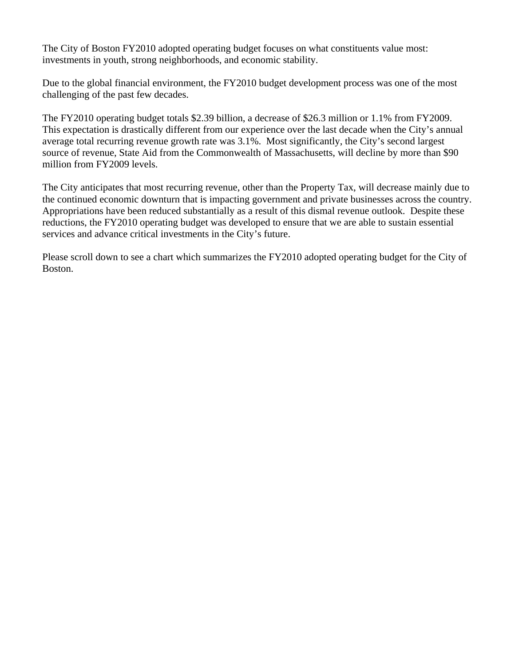The City of Boston FY2010 adopted operating budget focuses on what constituents value most: investments in youth, strong neighborhoods, and economic stability.

Due to the global financial environment, the FY2010 budget development process was one of the most challenging of the past few decades.

The FY2010 operating budget totals \$2.39 billion, a decrease of \$26.3 million or 1.1% from FY2009. This expectation is drastically different from our experience over the last decade when the City's annual average total recurring revenue growth rate was 3.1%. Most significantly, the City's second largest source of revenue, State Aid from the Commonwealth of Massachusetts, will decline by more than \$90 million from FY2009 levels.

The City anticipates that most recurring revenue, other than the Property Tax, will decrease mainly due to the continued economic downturn that is impacting government and private businesses across the country. Appropriations have been reduced substantially as a result of this dismal revenue outlook. Despite these reductions, the FY2010 operating budget was developed to ensure that we are able to sustain essential services and advance critical investments in the City's future.

Please scroll down to see a chart which summarizes the FY2010 adopted operating budget for the City of Boston.